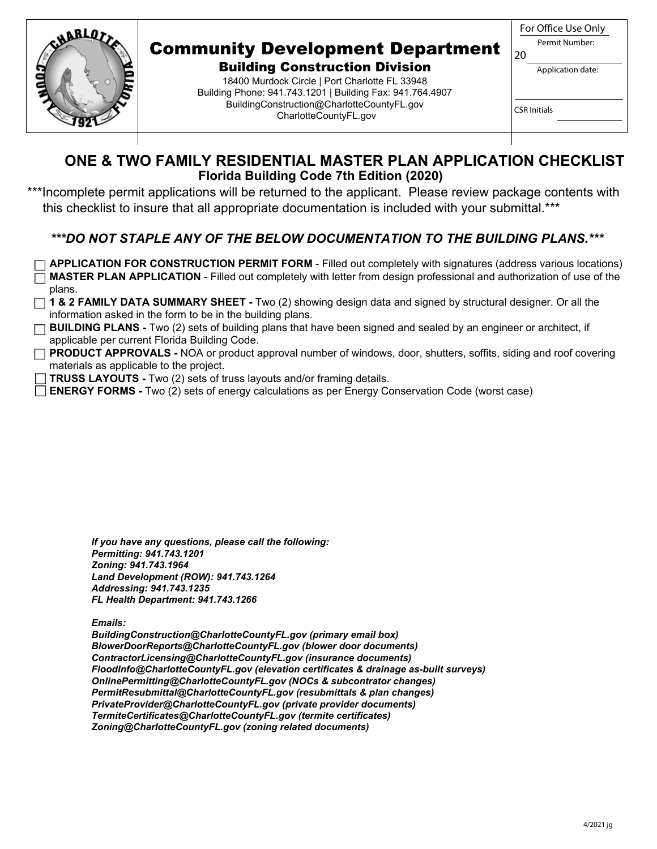

## Community Development Department

Building Construction Division 18400 Murdock Circle | Port Charlotte FL 33948 Building Phone: 941.743.1201 | Building Fax: 941.764.4907 BuildingConstruction@CharlotteCountyFL.gov CharlotteCountyFL.gov

|                | For Office Use Only |  |  |  |  |
|----------------|---------------------|--|--|--|--|
| Permit Number: |                     |  |  |  |  |
| 20             |                     |  |  |  |  |
|                | Application date:   |  |  |  |  |
|                |                     |  |  |  |  |

CSR Initials

| ONE & TWO FAMILY RESIDENTIAL MASTER PLAN APPLICATION CHECKLIST |
|----------------------------------------------------------------|
| <b>Florida Building Code 7th Edition (2020)</b>                |

\*\*\*Incomplete permit applications will be returned to the applicant. Please review package contents with this checklist to insure that all appropriate documentation is included with your submittal.\*\*\*

### *\*\*\*DO NOT STAPLE ANY OF THE BELOW DOCUMENTATION TO THE BUILDING PLANS.\*\*\**

**APPLICATION FOR CONSTRUCTION PERMIT FORM** - Filled out completely with signatures (address various locations) **MASTER PLAN APPLICATION** - Filled out completely with letter from design professional and authorization of use of the plans.

- **1 & 2 FAMILY DATA SUMMARY SHEET** Two (2) showing design data and signed by structural designer. Or all the information asked in the form to be in the building plans.
- **BUILDING PLANS -** Two (2) sets of building plans that have been signed and sealed by an engineer or architect, if applicable per current Florida Building Code.
- **PRODUCT APPROVALS -** NOA or product approval number of windows, door, shutters, soffits, siding and roof covering materials as applicable to the project.
- **TRUSS LAYOUTS -** Two (2) sets of truss layouts and/or framing details.
- **ENERGY FORMS -** Two (2) sets of energy calculations as per Energy Conservation Code (worst case)

*If you have any questions, please call the following: Permitting: 941.743.1201 Zoning: 941.743.1964 Land Development (ROW): 941.743.1264 Addressing: 941.743.1235 FL Health Department: 941.743.1266* 

*Emails:* 

*BuildingConstruction@CharlotteCountyFL.gov (primary email box) BlowerDoorReports@CharlotteCountyFL.gov (blower door documents) ContractorLicensing@CharlotteCountyFL.gov (insurance documents) FloodInfo@CharlotteCountyFL.gov (elevation certificates & drainage as-built surveys) OnlinePermitting@CharlotteCountyFL.gov (NOCs & subcontrator changes) PermitResubmittal@CharlotteCountyFL.gov (resubmittals & plan changes) PrivateProvider@CharlotteCountyFL.gov (private provider documents) TermiteCertificates@CharlotteCountyFL.gov (termite certificates) Zoning@CharlotteCountyFL.gov (zoning related documents)*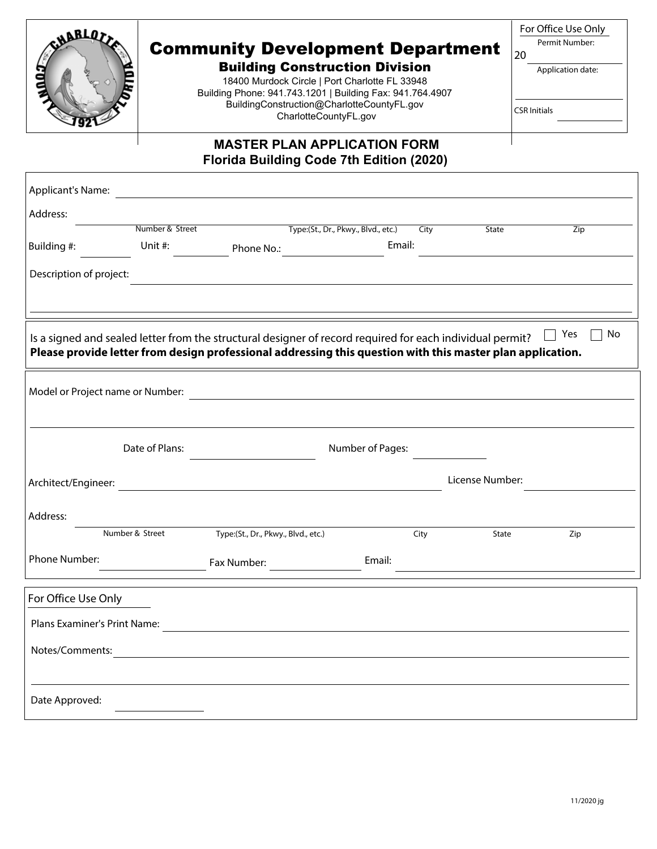

# Community Development Department

Building Construction Division 18400 Murdock Circle | Port Charlotte FL 33948 Building Phone: 941.743.1201 | Building Fax: 941.764.4907 BuildingConstruction@CharlotteCountyFL.gov CharlotteCountyFL.gov

|     | For Office Use Only |
|-----|---------------------|
|     | Permit Number:      |
| -20 |                     |

Application date:

CSR Initials

#### **MASTER PLAN APPLICATION FORM Florida Building Code 7th Edition (2020)**

| <b>Applicant's Name:</b>                                                                                                                                                                                                                    |                 | <u> 1980 - Jan Samuel Barbara, margaret e</u> n 1980 eta 1980 eta 1980 eta 1980 eta 1980 eta 1980 eta 1980 eta 1980 e |                                               |                  |      |                 |     |
|---------------------------------------------------------------------------------------------------------------------------------------------------------------------------------------------------------------------------------------------|-----------------|-----------------------------------------------------------------------------------------------------------------------|-----------------------------------------------|------------------|------|-----------------|-----|
| Address:                                                                                                                                                                                                                                    |                 |                                                                                                                       |                                               |                  |      |                 |     |
|                                                                                                                                                                                                                                             | Number & Street |                                                                                                                       | Type:(St., Dr., Pkwy., Blvd., etc.)           |                  | City | State           | Zip |
| Building #:                                                                                                                                                                                                                                 | Unit #:         |                                                                                                                       |                                               | Email:           |      |                 |     |
| Description of project:                                                                                                                                                                                                                     |                 |                                                                                                                       |                                               |                  |      |                 |     |
| $\top$ Yes<br>No<br>Is a signed and sealed letter from the structural designer of record required for each individual permit?<br>Please provide letter from design professional addressing this question with this master plan application. |                 |                                                                                                                       |                                               |                  |      |                 |     |
|                                                                                                                                                                                                                                             |                 |                                                                                                                       |                                               |                  |      |                 |     |
|                                                                                                                                                                                                                                             | Date of Plans:  |                                                                                                                       |                                               | Number of Pages: |      |                 |     |
|                                                                                                                                                                                                                                             |                 |                                                                                                                       |                                               |                  |      | License Number: |     |
| Address:                                                                                                                                                                                                                                    |                 |                                                                                                                       |                                               |                  |      |                 |     |
|                                                                                                                                                                                                                                             | Number & Street | Type:(St., Dr., Pkwy., Blvd., etc.)                                                                                   |                                               |                  | City | State           | Zip |
| Phone Number:                                                                                                                                                                                                                               |                 |                                                                                                                       |                                               | Email:           |      |                 |     |
| For Office Use Only                                                                                                                                                                                                                         |                 |                                                                                                                       |                                               |                  |      |                 |     |
|                                                                                                                                                                                                                                             |                 |                                                                                                                       |                                               |                  |      |                 |     |
| Notes/Comments:                                                                                                                                                                                                                             |                 |                                                                                                                       | <u> 1989 - Andrea Andrew Maria (h. 1989).</u> |                  |      |                 |     |
|                                                                                                                                                                                                                                             |                 |                                                                                                                       |                                               |                  |      |                 |     |
| Date Approved:                                                                                                                                                                                                                              |                 |                                                                                                                       |                                               |                  |      |                 |     |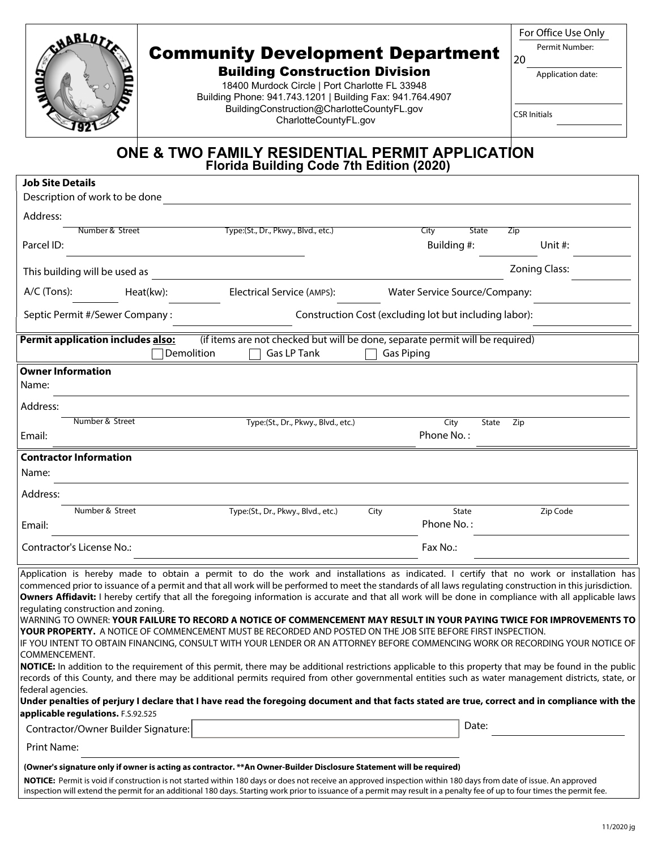| CHABLES                                                                                                                                                               | For Office Use Only<br>Permit Number:<br>20<br>Application date:<br><b>CSR Initials</b> |                                                                                                                                                                                                                                                                                                                                                                                                                                                                                                                                                                                                                                                                                                                                                                                                                                                                                                                                                                                                                                                                                                                                                                                                                                                                                                                  |                   |                                                        |                      |
|-----------------------------------------------------------------------------------------------------------------------------------------------------------------------|-----------------------------------------------------------------------------------------|------------------------------------------------------------------------------------------------------------------------------------------------------------------------------------------------------------------------------------------------------------------------------------------------------------------------------------------------------------------------------------------------------------------------------------------------------------------------------------------------------------------------------------------------------------------------------------------------------------------------------------------------------------------------------------------------------------------------------------------------------------------------------------------------------------------------------------------------------------------------------------------------------------------------------------------------------------------------------------------------------------------------------------------------------------------------------------------------------------------------------------------------------------------------------------------------------------------------------------------------------------------------------------------------------------------|-------------------|--------------------------------------------------------|----------------------|
|                                                                                                                                                                       |                                                                                         | ONE & TWO FAMILY RESIDENTIAL PERMIT APPLICATION<br>Florida Building Code 7th Edition (2020)                                                                                                                                                                                                                                                                                                                                                                                                                                                                                                                                                                                                                                                                                                                                                                                                                                                                                                                                                                                                                                                                                                                                                                                                                      |                   |                                                        |                      |
| <b>Job Site Details</b><br>Description of work to be done                                                                                                             |                                                                                         |                                                                                                                                                                                                                                                                                                                                                                                                                                                                                                                                                                                                                                                                                                                                                                                                                                                                                                                                                                                                                                                                                                                                                                                                                                                                                                                  |                   |                                                        |                      |
| Address:                                                                                                                                                              |                                                                                         |                                                                                                                                                                                                                                                                                                                                                                                                                                                                                                                                                                                                                                                                                                                                                                                                                                                                                                                                                                                                                                                                                                                                                                                                                                                                                                                  |                   |                                                        |                      |
| Number & Street                                                                                                                                                       |                                                                                         | Type:(St., Dr., Pkwy., Blvd., etc.)                                                                                                                                                                                                                                                                                                                                                                                                                                                                                                                                                                                                                                                                                                                                                                                                                                                                                                                                                                                                                                                                                                                                                                                                                                                                              |                   | <b>State</b><br>City                                   | Zip                  |
| Parcel ID:                                                                                                                                                            |                                                                                         |                                                                                                                                                                                                                                                                                                                                                                                                                                                                                                                                                                                                                                                                                                                                                                                                                                                                                                                                                                                                                                                                                                                                                                                                                                                                                                                  |                   | Building #:                                            | Unit $#$ :           |
| This building will be used as                                                                                                                                         |                                                                                         |                                                                                                                                                                                                                                                                                                                                                                                                                                                                                                                                                                                                                                                                                                                                                                                                                                                                                                                                                                                                                                                                                                                                                                                                                                                                                                                  |                   |                                                        | <b>Zoning Class:</b> |
| $A/C$ (Tons):                                                                                                                                                         | Heat(kw):                                                                               | Electrical Service (AMPS):                                                                                                                                                                                                                                                                                                                                                                                                                                                                                                                                                                                                                                                                                                                                                                                                                                                                                                                                                                                                                                                                                                                                                                                                                                                                                       |                   | Water Service Source/Company:                          |                      |
| Septic Permit #/Sewer Company:                                                                                                                                        |                                                                                         |                                                                                                                                                                                                                                                                                                                                                                                                                                                                                                                                                                                                                                                                                                                                                                                                                                                                                                                                                                                                                                                                                                                                                                                                                                                                                                                  |                   | Construction Cost (excluding lot but including labor): |                      |
| <b>Permit application includes also:</b>                                                                                                                              |                                                                                         | (if items are not checked but will be done, separate permit will be required)                                                                                                                                                                                                                                                                                                                                                                                                                                                                                                                                                                                                                                                                                                                                                                                                                                                                                                                                                                                                                                                                                                                                                                                                                                    |                   |                                                        |                      |
|                                                                                                                                                                       | Demolition                                                                              | Gas LP Tank                                                                                                                                                                                                                                                                                                                                                                                                                                                                                                                                                                                                                                                                                                                                                                                                                                                                                                                                                                                                                                                                                                                                                                                                                                                                                                      | <b>Gas Piping</b> |                                                        |                      |
| <b>Owner Information</b><br>Name:                                                                                                                                     |                                                                                         |                                                                                                                                                                                                                                                                                                                                                                                                                                                                                                                                                                                                                                                                                                                                                                                                                                                                                                                                                                                                                                                                                                                                                                                                                                                                                                                  |                   |                                                        |                      |
| Address:                                                                                                                                                              |                                                                                         |                                                                                                                                                                                                                                                                                                                                                                                                                                                                                                                                                                                                                                                                                                                                                                                                                                                                                                                                                                                                                                                                                                                                                                                                                                                                                                                  |                   |                                                        |                      |
| Number & Street<br>Email:                                                                                                                                             |                                                                                         | Type:(St., Dr., Pkwy., Blvd., etc.)                                                                                                                                                                                                                                                                                                                                                                                                                                                                                                                                                                                                                                                                                                                                                                                                                                                                                                                                                                                                                                                                                                                                                                                                                                                                              |                   | City<br>State<br>Phone No.:                            | Zip                  |
|                                                                                                                                                                       |                                                                                         |                                                                                                                                                                                                                                                                                                                                                                                                                                                                                                                                                                                                                                                                                                                                                                                                                                                                                                                                                                                                                                                                                                                                                                                                                                                                                                                  |                   |                                                        |                      |
| <b>Contractor Information</b><br>Name:                                                                                                                                |                                                                                         |                                                                                                                                                                                                                                                                                                                                                                                                                                                                                                                                                                                                                                                                                                                                                                                                                                                                                                                                                                                                                                                                                                                                                                                                                                                                                                                  |                   |                                                        |                      |
| Address:                                                                                                                                                              |                                                                                         |                                                                                                                                                                                                                                                                                                                                                                                                                                                                                                                                                                                                                                                                                                                                                                                                                                                                                                                                                                                                                                                                                                                                                                                                                                                                                                                  |                   |                                                        |                      |
| Number & Street                                                                                                                                                       |                                                                                         | Type:(St., Dr., Pkwy., Blvd., etc.)                                                                                                                                                                                                                                                                                                                                                                                                                                                                                                                                                                                                                                                                                                                                                                                                                                                                                                                                                                                                                                                                                                                                                                                                                                                                              | City              | State                                                  | Zip Code             |
| Email:                                                                                                                                                                |                                                                                         |                                                                                                                                                                                                                                                                                                                                                                                                                                                                                                                                                                                                                                                                                                                                                                                                                                                                                                                                                                                                                                                                                                                                                                                                                                                                                                                  |                   | Phone No.:                                             |                      |
| Contractor's License No.:                                                                                                                                             |                                                                                         |                                                                                                                                                                                                                                                                                                                                                                                                                                                                                                                                                                                                                                                                                                                                                                                                                                                                                                                                                                                                                                                                                                                                                                                                                                                                                                                  |                   | Fax No.:                                               |                      |
| regulating construction and zoning.<br>COMMENCEMENT.<br>federal agencies.<br>applicable regulations. F.S.92.525<br>Contractor/Owner Builder Signature:<br>Print Name: |                                                                                         | Application is hereby made to obtain a permit to do the work and installations as indicated. I certify that no work or installation has<br>commenced prior to issuance of a permit and that all work will be performed to meet the standards of all laws regulating construction in this jurisdiction.<br>Owners Affidavit: I hereby certify that all the foregoing information is accurate and that all work will be done in compliance with all applicable laws<br>WARNING TO OWNER: YOUR FAILURE TO RECORD A NOTICE OF COMMENCEMENT MAY RESULT IN YOUR PAYING TWICE FOR IMPROVEMENTS TO<br>YOUR PROPERTY. A NOTICE OF COMMENCEMENT MUST BE RECORDED AND POSTED ON THE JOB SITE BEFORE FIRST INSPECTION.<br>IF YOU INTENT TO OBTAIN FINANCING, CONSULT WITH YOUR LENDER OR AN ATTORNEY BEFORE COMMENCING WORK OR RECORDING YOUR NOTICE OF<br>NOTICE: In addition to the requirement of this permit, there may be additional restrictions applicable to this property that may be found in the public<br>records of this County, and there may be additional permits required from other governmental entities such as water management districts, state, or<br>Under penalties of perjury I declare that I have read the foregoing document and that facts stated are true, correct and in compliance with the |                   | Date:                                                  |                      |
|                                                                                                                                                                       |                                                                                         | (Owner's signature only if owner is acting as contractor. **An Owner-Builder Disclosure Statement will be required)                                                                                                                                                                                                                                                                                                                                                                                                                                                                                                                                                                                                                                                                                                                                                                                                                                                                                                                                                                                                                                                                                                                                                                                              |                   |                                                        |                      |
|                                                                                                                                                                       |                                                                                         | NOTICE: Permit is void if construction is not started within 180 days or does not receive an approved inspection within 180 days from date of issue. An approved<br>inspection will extend the permit for an additional 180 days. Starting work prior to issuance of a permit may result in a penalty fee of up to four times the permit fee.                                                                                                                                                                                                                                                                                                                                                                                                                                                                                                                                                                                                                                                                                                                                                                                                                                                                                                                                                                    |                   |                                                        |                      |